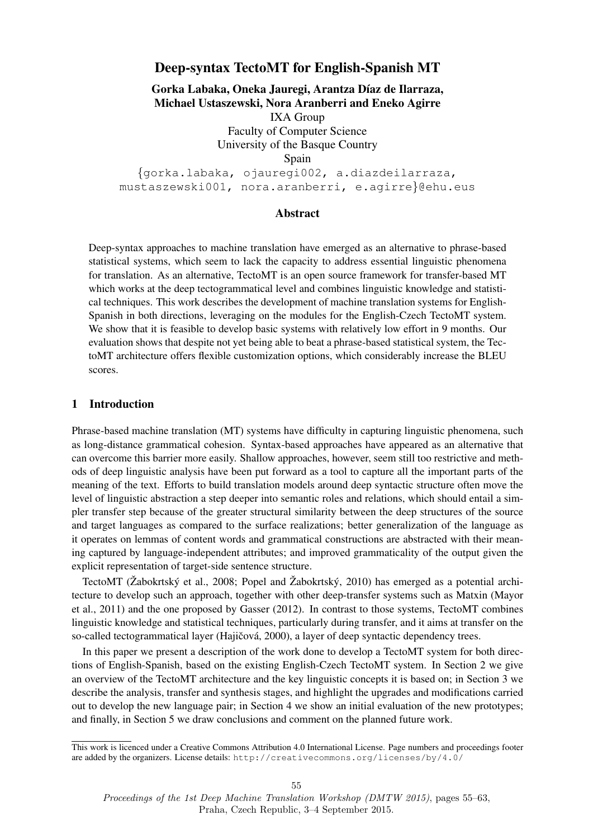## Deep-syntax TectoMT for English-Spanish MT

Gorka Labaka, Oneka Jauregi, Arantza Díaz de Ilarraza, Michael Ustaszewski, Nora Aranberri and Eneko Agirre IXA Group Faculty of Computer Science University of the Basque Country Spain {gorka.labaka, ojauregi002, a.diazdeilarraza,

mustaszewski001, nora.aranberri, e.agirre}@ehu.eus

### Abstract

Deep-syntax approaches to machine translation have emerged as an alternative to phrase-based statistical systems, which seem to lack the capacity to address essential linguistic phenomena for translation. As an alternative, TectoMT is an open source framework for transfer-based MT which works at the deep tectogrammatical level and combines linguistic knowledge and statistical techniques. This work describes the development of machine translation systems for English-Spanish in both directions, leveraging on the modules for the English-Czech TectoMT system. We show that it is feasible to develop basic systems with relatively low effort in 9 months. Our evaluation shows that despite not yet being able to beat a phrase-based statistical system, the TectoMT architecture offers flexible customization options, which considerably increase the BLEU scores.

### 1 Introduction

Phrase-based machine translation (MT) systems have difficulty in capturing linguistic phenomena, such as long-distance grammatical cohesion. Syntax-based approaches have appeared as an alternative that can overcome this barrier more easily. Shallow approaches, however, seem still too restrictive and methods of deep linguistic analysis have been put forward as a tool to capture all the important parts of the meaning of the text. Efforts to build translation models around deep syntactic structure often move the level of linguistic abstraction a step deeper into semantic roles and relations, which should entail a simpler transfer step because of the greater structural similarity between the deep structures of the source and target languages as compared to the surface realizations; better generalization of the language as it operates on lemmas of content words and grammatical constructions are abstracted with their meaning captured by language-independent attributes; and improved grammaticality of the output given the explicit representation of target-side sentence structure.

TectoMT (Žabokrtský et al., 2008; Popel and Žabokrtský, 2010) has emerged as a potential architecture to develop such an approach, together with other deep-transfer systems such as Matxin (Mayor et al., 2011) and the one proposed by Gasser (2012). In contrast to those systems, TectoMT combines linguistic knowledge and statistical techniques, particularly during transfer, and it aims at transfer on the so-called tectogrammatical layer (Hajičová, 2000), a layer of deep syntactic dependency trees.

In this paper we present a description of the work done to develop a TectoMT system for both directions of English-Spanish, based on the existing English-Czech TectoMT system. In Section 2 we give an overview of the TectoMT architecture and the key linguistic concepts it is based on; in Section 3 we describe the analysis, transfer and synthesis stages, and highlight the upgrades and modifications carried out to develop the new language pair; in Section 4 we show an initial evaluation of the new prototypes; and finally, in Section 5 we draw conclusions and comment on the planned future work.

This work is licenced under a Creative Commons Attribution 4.0 International License. Page numbers and proceedings footer are added by the organizers. License details: http://creativecommons.org/licenses/by/4.0/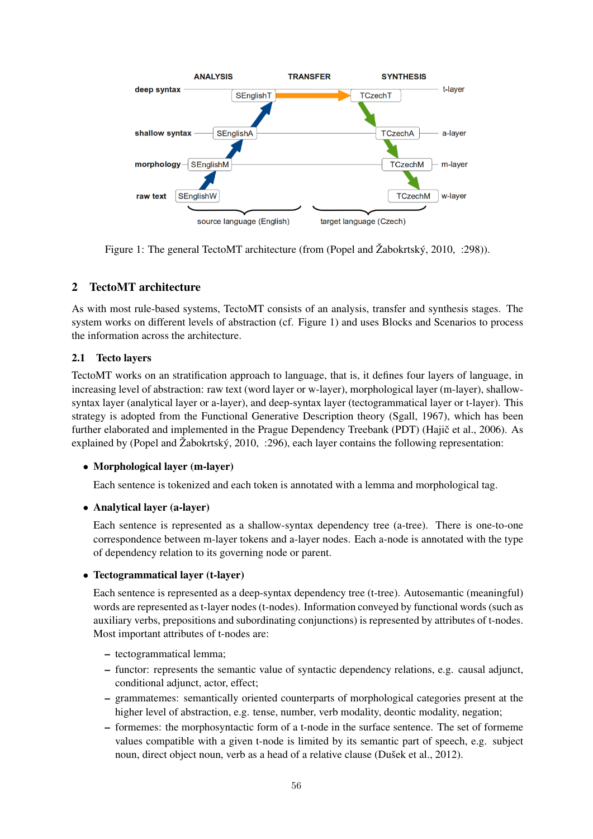

Figure 1: The general TectoMT architecture (from (Popel and Žabokrtský, 2010, :298)).

# 2 TectoMT architecture

As with most rule-based systems, TectoMT consists of an analysis, transfer and synthesis stages. The system works on different levels of abstraction (cf. Figure 1) and uses Blocks and Scenarios to process the information across the architecture.

# 2.1 Tecto layers

TectoMT works on an stratification approach to language, that is, it defines four layers of language, in increasing level of abstraction: raw text (word layer or w-layer), morphological layer (m-layer), shallowsyntax layer (analytical layer or a-layer), and deep-syntax layer (tectogrammatical layer or t-layer). This strategy is adopted from the Functional Generative Description theory (Sgall, 1967), which has been further elaborated and implemented in the Prague Dependency Treebank (PDT) (Hajič et al., 2006). As explained by (Popel and Žabokrtský, 2010, :296), each layer contains the following representation:

### • Morphological layer (m-layer)

Each sentence is tokenized and each token is annotated with a lemma and morphological tag.

### • Analytical layer (a-layer)

Each sentence is represented as a shallow-syntax dependency tree (a-tree). There is one-to-one correspondence between m-layer tokens and a-layer nodes. Each a-node is annotated with the type of dependency relation to its governing node or parent.

### • Tectogrammatical layer (t-layer)

Each sentence is represented as a deep-syntax dependency tree (t-tree). Autosemantic (meaningful) words are represented as t-layer nodes (t-nodes). Information conveyed by functional words (such as auxiliary verbs, prepositions and subordinating conjunctions) is represented by attributes of t-nodes. Most important attributes of t-nodes are:

- tectogrammatical lemma;
- functor: represents the semantic value of syntactic dependency relations, e.g. causal adjunct, conditional adjunct, actor, effect;
- grammatemes: semantically oriented counterparts of morphological categories present at the higher level of abstraction, e.g. tense, number, verb modality, deontic modality, negation;
- formemes: the morphosyntactic form of a t-node in the surface sentence. The set of formeme values compatible with a given t-node is limited by its semantic part of speech, e.g. subject noun, direct object noun, verb as a head of a relative clause (Dušek et al., 2012).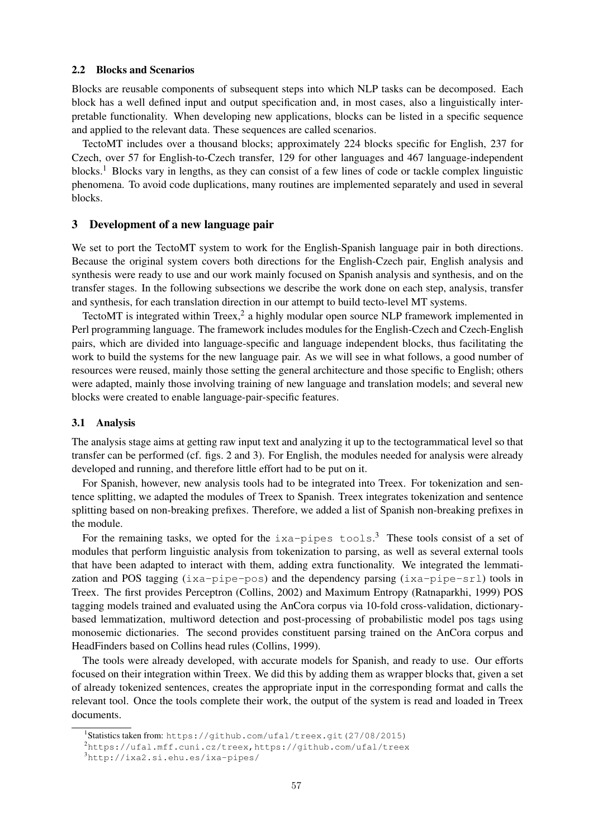#### 2.2 Blocks and Scenarios

Blocks are reusable components of subsequent steps into which NLP tasks can be decomposed. Each block has a well defined input and output specification and, in most cases, also a linguistically interpretable functionality. When developing new applications, blocks can be listed in a specific sequence and applied to the relevant data. These sequences are called scenarios.

TectoMT includes over a thousand blocks; approximately 224 blocks specific for English, 237 for Czech, over 57 for English-to-Czech transfer, 129 for other languages and 467 language-independent blocks.<sup>1</sup> Blocks vary in lengths, as they can consist of a few lines of code or tackle complex linguistic phenomena. To avoid code duplications, many routines are implemented separately and used in several blocks.

#### 3 Development of a new language pair

We set to port the TectoMT system to work for the English-Spanish language pair in both directions. Because the original system covers both directions for the English-Czech pair, English analysis and synthesis were ready to use and our work mainly focused on Spanish analysis and synthesis, and on the transfer stages. In the following subsections we describe the work done on each step, analysis, transfer and synthesis, for each translation direction in our attempt to build tecto-level MT systems.

TectoMT is integrated within Treex,<sup>2</sup> a highly modular open source NLP framework implemented in Perl programming language. The framework includes modules for the English-Czech and Czech-English pairs, which are divided into language-specific and language independent blocks, thus facilitating the work to build the systems for the new language pair. As we will see in what follows, a good number of resources were reused, mainly those setting the general architecture and those specific to English; others were adapted, mainly those involving training of new language and translation models; and several new blocks were created to enable language-pair-specific features.

#### 3.1 Analysis

The analysis stage aims at getting raw input text and analyzing it up to the tectogrammatical level so that transfer can be performed (cf. figs. 2 and 3). For English, the modules needed for analysis were already developed and running, and therefore little effort had to be put on it.

For Spanish, however, new analysis tools had to be integrated into Treex. For tokenization and sentence splitting, we adapted the modules of Treex to Spanish. Treex integrates tokenization and sentence splitting based on non-breaking prefixes. Therefore, we added a list of Spanish non-breaking prefixes in the module.

For the remaining tasks, we opted for the  $ixa-pipes$  tools.<sup>3</sup> These tools consist of a set of modules that perform linguistic analysis from tokenization to parsing, as well as several external tools that have been adapted to interact with them, adding extra functionality. We integrated the lemmatization and POS tagging  $(i \times a - p \cdot p \cdot e - p \cdot o \cdot s)$  and the dependency parsing  $(i \times a - p \cdot p \cdot e - s \cdot r)$  tools in Treex. The first provides Perceptron (Collins, 2002) and Maximum Entropy (Ratnaparkhi, 1999) POS tagging models trained and evaluated using the AnCora corpus via 10-fold cross-validation, dictionarybased lemmatization, multiword detection and post-processing of probabilistic model pos tags using monosemic dictionaries. The second provides constituent parsing trained on the AnCora corpus and HeadFinders based on Collins head rules (Collins, 1999).

The tools were already developed, with accurate models for Spanish, and ready to use. Our efforts focused on their integration within Treex. We did this by adding them as wrapper blocks that, given a set of already tokenized sentences, creates the appropriate input in the corresponding format and calls the relevant tool. Once the tools complete their work, the output of the system is read and loaded in Treex documents.

<sup>1</sup> Statistics taken from: https://github.com/ufal/treex.git(27/08/2015)

<sup>2</sup>https://ufal.mff.cuni.cz/treex,https://github.com/ufal/treex

<sup>3</sup>http://ixa2.si.ehu.es/ixa-pipes/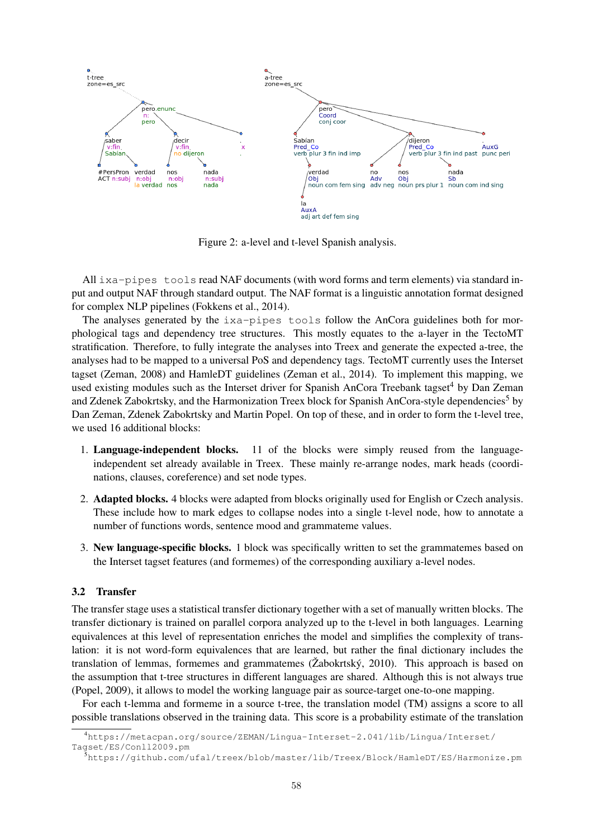

Figure 2: a-level and t-level Spanish analysis.

All ixa-pipes tools read NAF documents (with word forms and term elements) via standard input and output NAF through standard output. The NAF format is a linguistic annotation format designed for complex NLP pipelines (Fokkens et al., 2014).

The analyses generated by the  $ixa-pipes$  tools follow the AnCora guidelines both for morphological tags and dependency tree structures. This mostly equates to the a-layer in the TectoMT stratification. Therefore, to fully integrate the analyses into Treex and generate the expected a-tree, the analyses had to be mapped to a universal PoS and dependency tags. TectoMT currently uses the Interset tagset (Zeman, 2008) and HamleDT guidelines (Zeman et al., 2014). To implement this mapping, we used existing modules such as the Interset driver for Spanish AnCora Treebank tagset<sup>4</sup> by Dan Zeman and Zdenek Zabokrtsky, and the Harmonization Treex block for Spanish AnCora-style dependencies<sup>5</sup> by Dan Zeman, Zdenek Zabokrtsky and Martin Popel. On top of these, and in order to form the t-level tree, we used 16 additional blocks:

- 1. Language-independent blocks. 11 of the blocks were simply reused from the languageindependent set already available in Treex. These mainly re-arrange nodes, mark heads (coordinations, clauses, coreference) and set node types.
- 2. Adapted blocks. 4 blocks were adapted from blocks originally used for English or Czech analysis. These include how to mark edges to collapse nodes into a single t-level node, how to annotate a number of functions words, sentence mood and grammateme values.
- 3. New language-specific blocks. 1 block was specifically written to set the grammatemes based on the Interset tagset features (and formemes) of the corresponding auxiliary a-level nodes.

#### 3.2 Transfer

The transfer stage uses a statistical transfer dictionary together with a set of manually written blocks. The transfer dictionary is trained on parallel corpora analyzed up to the t-level in both languages. Learning equivalences at this level of representation enriches the model and simplifies the complexity of translation: it is not word-form equivalences that are learned, but rather the final dictionary includes the translation of lemmas, formemes and grammatemes ( $\zeta$ abokrtský, 2010). This approach is based on the assumption that t-tree structures in different languages are shared. Although this is not always true (Popel, 2009), it allows to model the working language pair as source-target one-to-one mapping.

For each t-lemma and formeme in a source t-tree, the translation model (TM) assigns a score to all possible translations observed in the training data. This score is a probability estimate of the translation

<sup>4</sup>https://metacpan.org/source/ZEMAN/Lingua-Interset-2.041/lib/Lingua/Interset/ Tagset/ES/Conll2009.pm

<sup>5</sup>https://github.com/ufal/treex/blob/master/lib/Treex/Block/HamleDT/ES/Harmonize.pm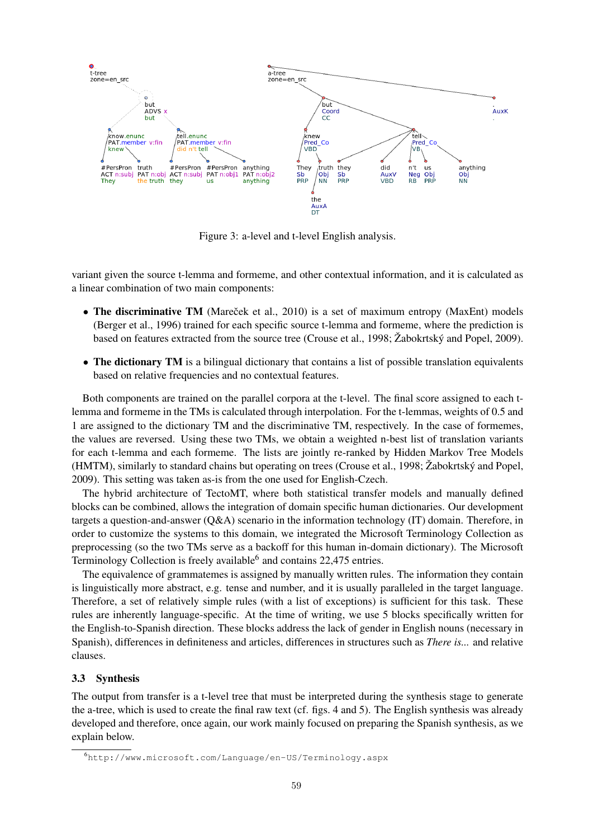

Figure 3: a-level and t-level English analysis.

variant given the source t-lemma and formeme, and other contextual information, and it is calculated as a linear combination of two main components:

- The discriminative TM (Marecek et al., 2010) is a set of maximum entropy (MaxEnt) models (Berger et al., 1996) trained for each specific source t-lemma and formeme, where the prediction is based on features extracted from the source tree (Crouse et al., 1998; Žabokrtský and Popel, 2009).
- The dictionary TM is a bilingual dictionary that contains a list of possible translation equivalents based on relative frequencies and no contextual features.

Both components are trained on the parallel corpora at the t-level. The final score assigned to each tlemma and formeme in the TMs is calculated through interpolation. For the t-lemmas, weights of 0.5 and 1 are assigned to the dictionary TM and the discriminative TM, respectively. In the case of formemes, the values are reversed. Using these two TMs, we obtain a weighted n-best list of translation variants for each t-lemma and each formeme. The lists are jointly re-ranked by Hidden Markov Tree Models (HMTM), similarly to standard chains but operating on trees (Crouse et al., 1998; Žabokrtský and Popel, 2009). This setting was taken as-is from the one used for English-Czech.

The hybrid architecture of TectoMT, where both statistical transfer models and manually defined blocks can be combined, allows the integration of domain specific human dictionaries. Our development targets a question-and-answer (Q&A) scenario in the information technology (IT) domain. Therefore, in order to customize the systems to this domain, we integrated the Microsoft Terminology Collection as preprocessing (so the two TMs serve as a backoff for this human in-domain dictionary). The Microsoft Terminology Collection is freely available<sup>6</sup> and contains 22,475 entries.

The equivalence of grammatemes is assigned by manually written rules. The information they contain is linguistically more abstract, e.g. tense and number, and it is usually paralleled in the target language. Therefore, a set of relatively simple rules (with a list of exceptions) is sufficient for this task. These rules are inherently language-specific. At the time of writing, we use 5 blocks specifically written for the English-to-Spanish direction. These blocks address the lack of gender in English nouns (necessary in Spanish), differences in definiteness and articles, differences in structures such as *There is...* and relative clauses.

#### 3.3 Synthesis

The output from transfer is a t-level tree that must be interpreted during the synthesis stage to generate the a-tree, which is used to create the final raw text (cf. figs. 4 and 5). The English synthesis was already developed and therefore, once again, our work mainly focused on preparing the Spanish synthesis, as we explain below.

<sup>6</sup>http://www.microsoft.com/Language/en-US/Terminology.aspx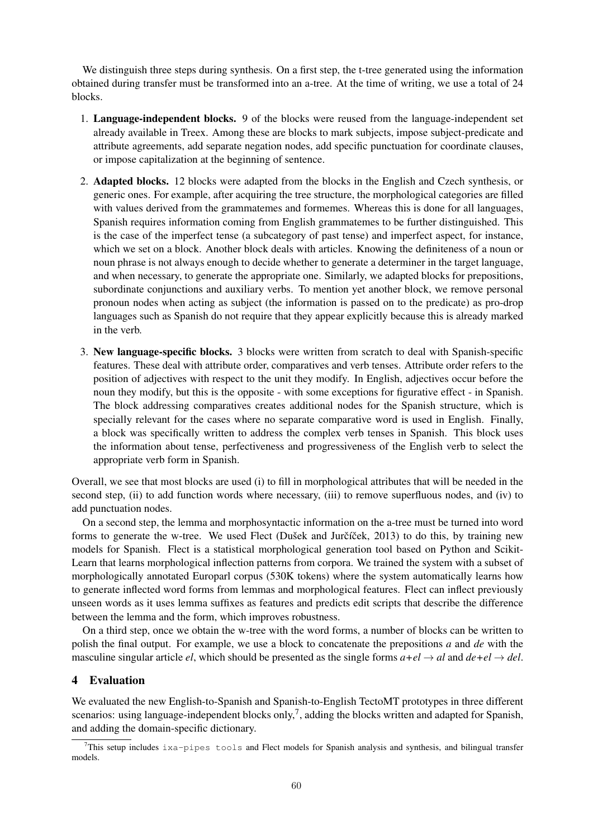We distinguish three steps during synthesis. On a first step, the t-tree generated using the information obtained during transfer must be transformed into an a-tree. At the time of writing, we use a total of 24 blocks.

- 1. Language-independent blocks. 9 of the blocks were reused from the language-independent set already available in Treex. Among these are blocks to mark subjects, impose subject-predicate and attribute agreements, add separate negation nodes, add specific punctuation for coordinate clauses, or impose capitalization at the beginning of sentence.
- 2. Adapted blocks. 12 blocks were adapted from the blocks in the English and Czech synthesis, or generic ones. For example, after acquiring the tree structure, the morphological categories are filled with values derived from the grammatemes and formemes. Whereas this is done for all languages, Spanish requires information coming from English grammatemes to be further distinguished. This is the case of the imperfect tense (a subcategory of past tense) and imperfect aspect, for instance, which we set on a block. Another block deals with articles. Knowing the definiteness of a noun or noun phrase is not always enough to decide whether to generate a determiner in the target language, and when necessary, to generate the appropriate one. Similarly, we adapted blocks for prepositions, subordinate conjunctions and auxiliary verbs. To mention yet another block, we remove personal pronoun nodes when acting as subject (the information is passed on to the predicate) as pro-drop languages such as Spanish do not require that they appear explicitly because this is already marked in the verb.
- 3. New language-specific blocks. 3 blocks were written from scratch to deal with Spanish-specific features. These deal with attribute order, comparatives and verb tenses. Attribute order refers to the position of adjectives with respect to the unit they modify. In English, adjectives occur before the noun they modify, but this is the opposite - with some exceptions for figurative effect - in Spanish. The block addressing comparatives creates additional nodes for the Spanish structure, which is specially relevant for the cases where no separate comparative word is used in English. Finally, a block was specifically written to address the complex verb tenses in Spanish. This block uses the information about tense, perfectiveness and progressiveness of the English verb to select the appropriate verb form in Spanish.

Overall, we see that most blocks are used (i) to fill in morphological attributes that will be needed in the second step, (ii) to add function words where necessary, (iii) to remove superfluous nodes, and (iv) to add punctuation nodes.

On a second step, the lemma and morphosyntactic information on the a-tree must be turned into word forms to generate the w-tree. We used Flect (Dušek and Jurčíček, 2013) to do this, by training new models for Spanish. Flect is a statistical morphological generation tool based on Python and Scikit-Learn that learns morphological inflection patterns from corpora. We trained the system with a subset of morphologically annotated Europarl corpus (530K tokens) where the system automatically learns how to generate inflected word forms from lemmas and morphological features. Flect can inflect previously unseen words as it uses lemma suffixes as features and predicts edit scripts that describe the difference between the lemma and the form, which improves robustness.

On a third step, once we obtain the w-tree with the word forms, a number of blocks can be written to polish the final output. For example, we use a block to concatenate the prepositions *a* and *de* with the masculine singular article *el*, which should be presented as the single forms  $a+el \rightarrow al$  and  $de+el \rightarrow del$ .

### 4 Evaluation

We evaluated the new English-to-Spanish and Spanish-to-English TectoMT prototypes in three different scenarios: using language-independent blocks only,<sup>7</sup>, adding the blocks written and adapted for Spanish, and adding the domain-specific dictionary.

This setup includes ixa-pipes tools and Flect models for Spanish analysis and synthesis, and bilingual transfer models.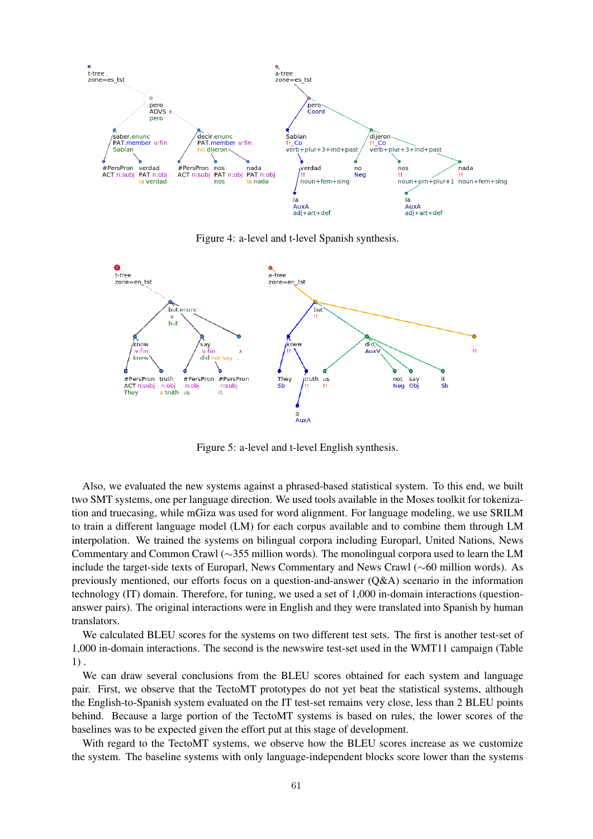

Figure 4: a-level and t-level Spanish synthesis.



Figure 5: a-level and t-level English synthesis.

Also, we evaluated the new systems against a phrased-based statistical system. To this end, we built two SMT systems, one per language direction. We used tools available in the Moses toolkit for tokenization and truecasing, while mGiza was used for word alignment. For language modeling, we use SRILM to train a different language model (LM) for each corpus available and to combine them through LM interpolation. We trained the systems on bilingual corpora including Europarl, United Nations, News Commentary and Common Crawl (∼355 million words). The monolingual corpora used to learn the LM include the target-side texts of Europarl, News Commentary and News Crawl (∼60 million words). As previously mentioned, our efforts focus on a question-and-answer (Q&A) scenario in the information technology (IT) domain. Therefore, for tuning, we used a set of 1,000 in-domain interactions (questionanswer pairs). The original interactions were in English and they were translated into Spanish by human translators.

We calculated BLEU scores for the systems on two different test sets. The first is another test-set of 1,000 in-domain interactions. The second is the newswire test-set used in the WMT11 campaign (Table 1) .

We can draw several conclusions from the BLEU scores obtained for each system and language pair. First, we observe that the TectoMT prototypes do not yet beat the statistical systems, although the English-to-Spanish system evaluated on the IT test-set remains very close, less than 2 BLEU points behind. Because a large portion of the TectoMT systems is based on rules, the lower scores of the baselines was to be expected given the effort put at this stage of development.

With regard to the TectoMT systems, we observe how the BLEU scores increase as we customize the system. The baseline systems with only language-independent blocks score lower than the systems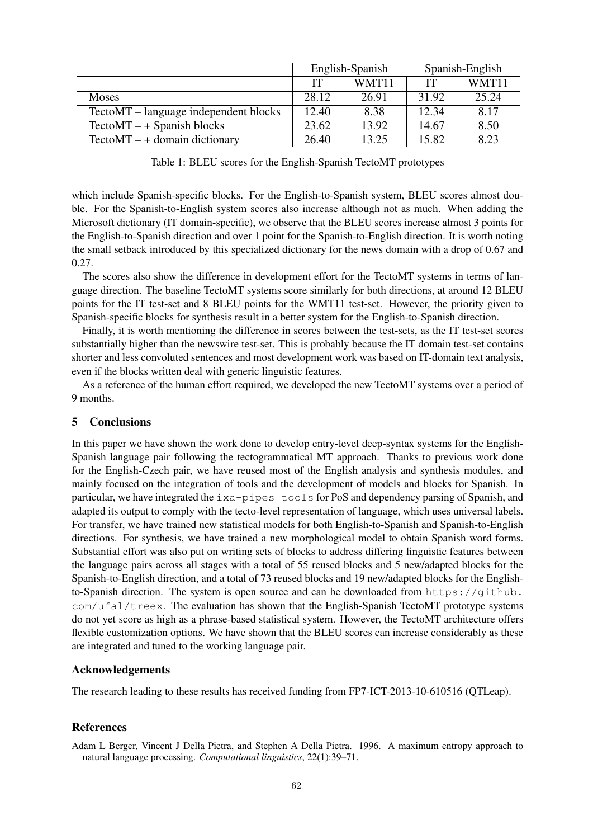|                                       | English-Spanish |       | Spanish-English |       |
|---------------------------------------|-----------------|-------|-----------------|-------|
|                                       | IТ              | WMT11 | IТ              | WMT11 |
| Moses                                 | 28.12           | 26.91 | 31.92           | 25.24 |
| TectoMT – language independent blocks | 12.40           | 8.38  | 12.34           | 8.17  |
| $TectoMT - + Spanish blocks$          | 23.62           | 13.92 | 14.67           | 8.50  |
| $TectoMT - + domain dictionary$       | 26.40           | 13.25 | 15.82           | 8.23  |

Table 1: BLEU scores for the English-Spanish TectoMT prototypes

which include Spanish-specific blocks. For the English-to-Spanish system, BLEU scores almost double. For the Spanish-to-English system scores also increase although not as much. When adding the Microsoft dictionary (IT domain-specific), we observe that the BLEU scores increase almost 3 points for the English-to-Spanish direction and over 1 point for the Spanish-to-English direction. It is worth noting the small setback introduced by this specialized dictionary for the news domain with a drop of 0.67 and 0.27.

The scores also show the difference in development effort for the TectoMT systems in terms of language direction. The baseline TectoMT systems score similarly for both directions, at around 12 BLEU points for the IT test-set and 8 BLEU points for the WMT11 test-set. However, the priority given to Spanish-specific blocks for synthesis result in a better system for the English-to-Spanish direction.

Finally, it is worth mentioning the difference in scores between the test-sets, as the IT test-set scores substantially higher than the newswire test-set. This is probably because the IT domain test-set contains shorter and less convoluted sentences and most development work was based on IT-domain text analysis, even if the blocks written deal with generic linguistic features.

As a reference of the human effort required, we developed the new TectoMT systems over a period of 9 months.

### 5 Conclusions

In this paper we have shown the work done to develop entry-level deep-syntax systems for the English-Spanish language pair following the tectogrammatical MT approach. Thanks to previous work done for the English-Czech pair, we have reused most of the English analysis and synthesis modules, and mainly focused on the integration of tools and the development of models and blocks for Spanish. In particular, we have integrated the ixa-pipes tools for PoS and dependency parsing of Spanish, and adapted its output to comply with the tecto-level representation of language, which uses universal labels. For transfer, we have trained new statistical models for both English-to-Spanish and Spanish-to-English directions. For synthesis, we have trained a new morphological model to obtain Spanish word forms. Substantial effort was also put on writing sets of blocks to address differing linguistic features between the language pairs across all stages with a total of 55 reused blocks and 5 new/adapted blocks for the Spanish-to-English direction, and a total of 73 reused blocks and 19 new/adapted blocks for the Englishto-Spanish direction. The system is open source and can be downloaded from https://github.  $com/ufal/treex$ . The evaluation has shown that the English-Spanish TectoMT prototype systems do not yet score as high as a phrase-based statistical system. However, the TectoMT architecture offers flexible customization options. We have shown that the BLEU scores can increase considerably as these are integrated and tuned to the working language pair.

#### Acknowledgements

The research leading to these results has received funding from FP7-ICT-2013-10-610516 (QTLeap).

#### References

Adam L Berger, Vincent J Della Pietra, and Stephen A Della Pietra. 1996. A maximum entropy approach to natural language processing. *Computational linguistics*, 22(1):39–71.